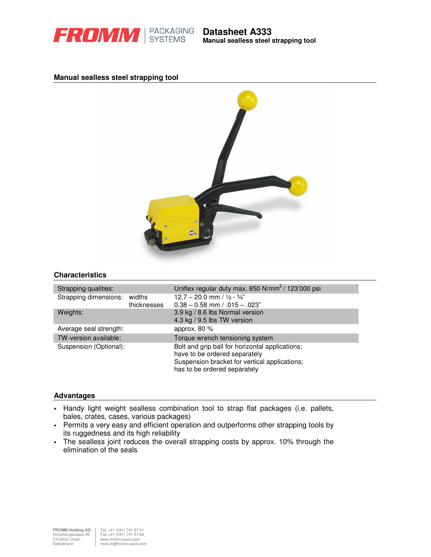

**Manual sealless steel strapping tool**

## **Manual sealless steel strapping tool**



### **Characteristics**

| Strapping qualities:         |             | Uniflex regular duty max. 850 N/mm <sup>2</sup> / 123'000 psi                                                                                                     |
|------------------------------|-------------|-------------------------------------------------------------------------------------------------------------------------------------------------------------------|
| Strapping dimensions: widths | thicknesses | $12.7 - 20.0$ mm / $1/2 - 3/4$ "<br>$0.38 - 0.58$ mm $/ .015 - .023$ "                                                                                            |
| Weights:                     |             | 3.9 kg / 8.6 lbs Normal version<br>4.3 kg / 9.5 lbs TW version                                                                                                    |
| Average seal strength:       |             | approx. $80\%$                                                                                                                                                    |
| TW-version available:        |             | Torque wrench tensioning system                                                                                                                                   |
| Suspension (Optional):       |             | Bolt and grip ball for horizontal applications;<br>have to be ordered separately<br>Suspension bracket for vertical applications;<br>has to be ordered separately |

#### **Advantages**

- Handy light weight sealless combination tool to strap flat packages (i.e. pallets, bales, crates, cases, various packages)
- Permits a very easy and efficient operation and outperforms other strapping tools by its ruggedness and its high reliability
- The sealless joint reduces the overall strapping costs by approx. 10% through the elimination of the seals